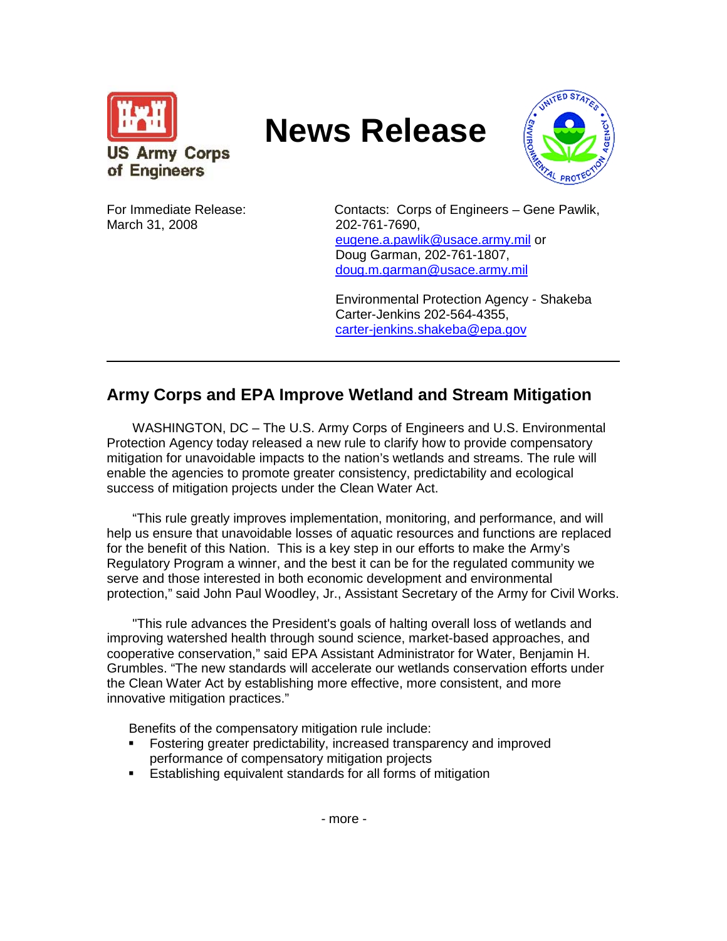

## **News Release**



March 31, 2008 202-761-7690,

j

For Immediate Release: Contacts: Corps of Engineers – Gene Pawlik, [eugene.a.pawlik@usace.army.mil](mailto:eugene.a.pawlik@usace.army.mil) or Doug Garman, 202-761-1807, [doug.m.garman@usace.army.mil](mailto:doug.m.garman@usace.army.mil)

> Environmental Protection Agency - Shakeba Carter-Jenkins 202-564-4355, carter-jenkins.shakeba@epa.gov

## **Army Corps and EPA Improve Wetland and Stream Mitigation**

WASHINGTON, DC – The U.S. Army Corps of Engineers and U.S. Environmental Protection Agency today released a new rule to clarify how to provide compensatory mitigation for unavoidable impacts to the nation's wetlands and streams. The rule will enable the agencies to promote greater consistency, predictability and ecological success of mitigation projects under the Clean Water Act.

"This rule greatly improves implementation, monitoring, and performance, and will help us ensure that unavoidable losses of aquatic resources and functions are replaced for the benefit of this Nation. This is a key step in our efforts to make the Army's Regulatory Program a winner, and the best it can be for the regulated community we serve and those interested in both economic development and environmental protection," said John Paul Woodley, Jr., Assistant Secretary of the Army for Civil Works.

"This rule advances the President's goals of halting overall loss of wetlands and improving watershed health through sound science, market-based approaches, and cooperative conservation," said EPA Assistant Administrator for Water, Benjamin H. Grumbles. "The new standards will accelerate our wetlands conservation efforts under the Clean Water Act by establishing more effective, more consistent, and more innovative mitigation practices."

Benefits of the compensatory mitigation rule include:

- Fostering greater predictability, increased transparency and improved performance of compensatory mitigation projects
- **Establishing equivalent standards for all forms of mitigation**